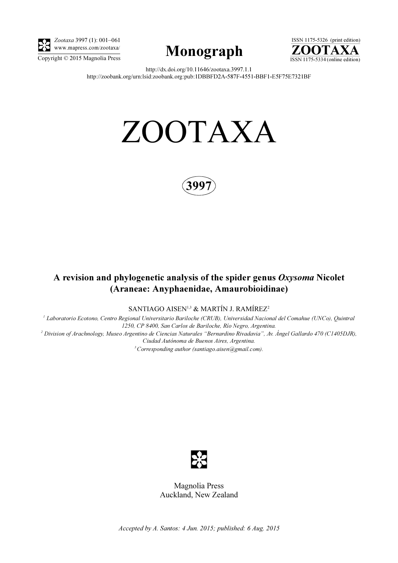

Zootaxa 3997 (1): 001–061 www.mapress.com/zootaxa/





http://dx.doi.org/10.11646/zootaxa.3997.1.1 http://zoobank.org/urn:lsid:zoobank.org:pub:1DBBFD2A-587F-4551-BBF1-E5F75E7321BF

# ZOOTAXA



## A revision and phylogenetic analysis of the spider genus Oxysoma Nicolet (Araneae: Anyphaenidae, Amaurobioidinae)

SANTIAGO AISEN<sup>1,3</sup> & MARTÍN J. RAMÍREZ<sup>2</sup>

<sup>1</sup> Laboratorio Ecotono, Centro Regional Universitario Bariloche (CRUB), Universidad Nacional del Comahue (UNCo), Quintral 1250, CP 8400, San Carlos de Bariloche, Río Negro, Argentina. 2 Division of Arachnology, Museo Argentino de Ciencias Naturales "Bernardino Rivadavia", Av. Ángel Gallardo 470 (C1405DJR), Ciudad Autónoma de Buenos Aires, Argentina.

 $3$  Corresponding author (santiago.aisen@gmail.com).



Magnolia Press Auckland, New Zealand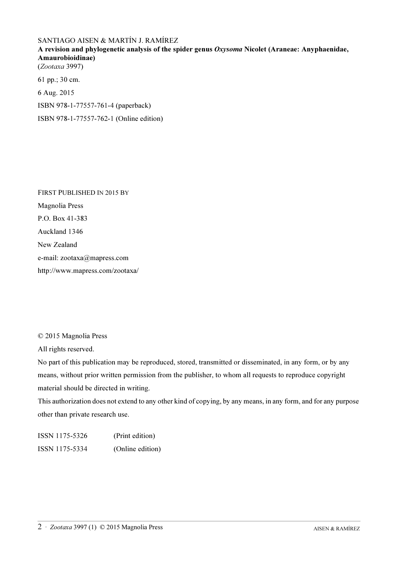### SANTIAGO AISEN & MARTÍN J. RAMÍREZ

A revision and phylogenetic analysis of the spider genus Oxysoma Nicolet (Araneae: Anyphaenidae, Amaurobioidinae) (Zootaxa 3997)

61 pp.; 30 cm. 6 Aug. 2015 ISBN 978-1-77557-761-4 (paperback) ISBN 978-1-77557-762-1 (Online edition)

FIRST PUBLISHED IN 2015 BY Magnolia Press P.O. Box 41-383 Auckland 1346 New Zealand e-mail: zootaxa@mapress.com http://www.mapress.com/zootaxa/

© 2015 Magnolia Press

All rights reserved.

No part of this publication may be reproduced, stored, transmitted or disseminated, in any form, or by any means, without prior written permission from the publisher, to whom all requests to reproduce copyright material should be directed in writing.

This authorization does not extend to any other kind of copying, by any means, in any form, and for any purpose other than private research use.

ISSN 1175-5326 (Print edition) ISSN 1175-5334 (Online edition)